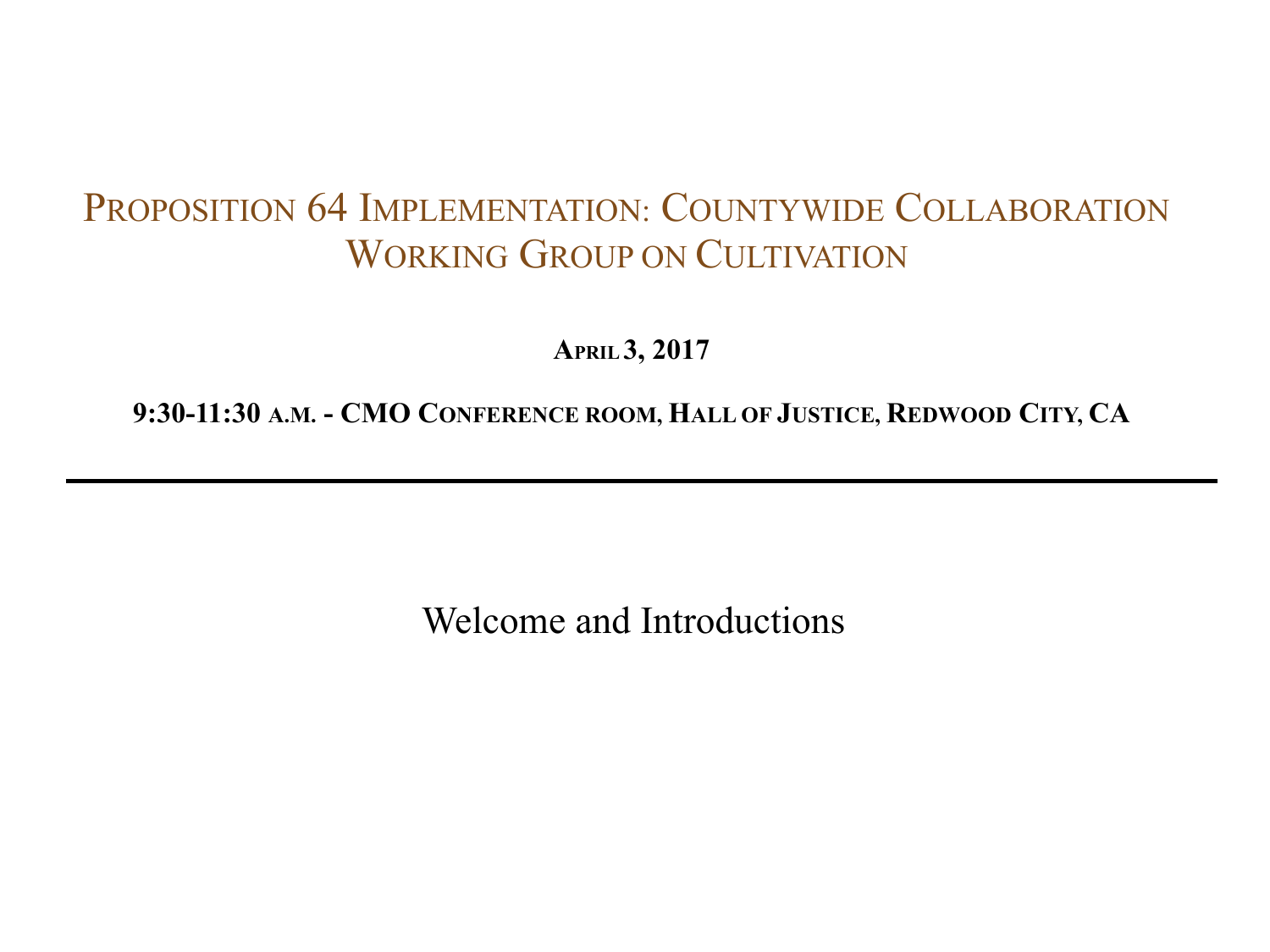**APRIL 3, 2017**

**9:30-11:30 A.M. - CMO CONFERENCE ROOM, HALL OF JUSTICE, REDWOOD CITY, CA**

Welcome and Introductions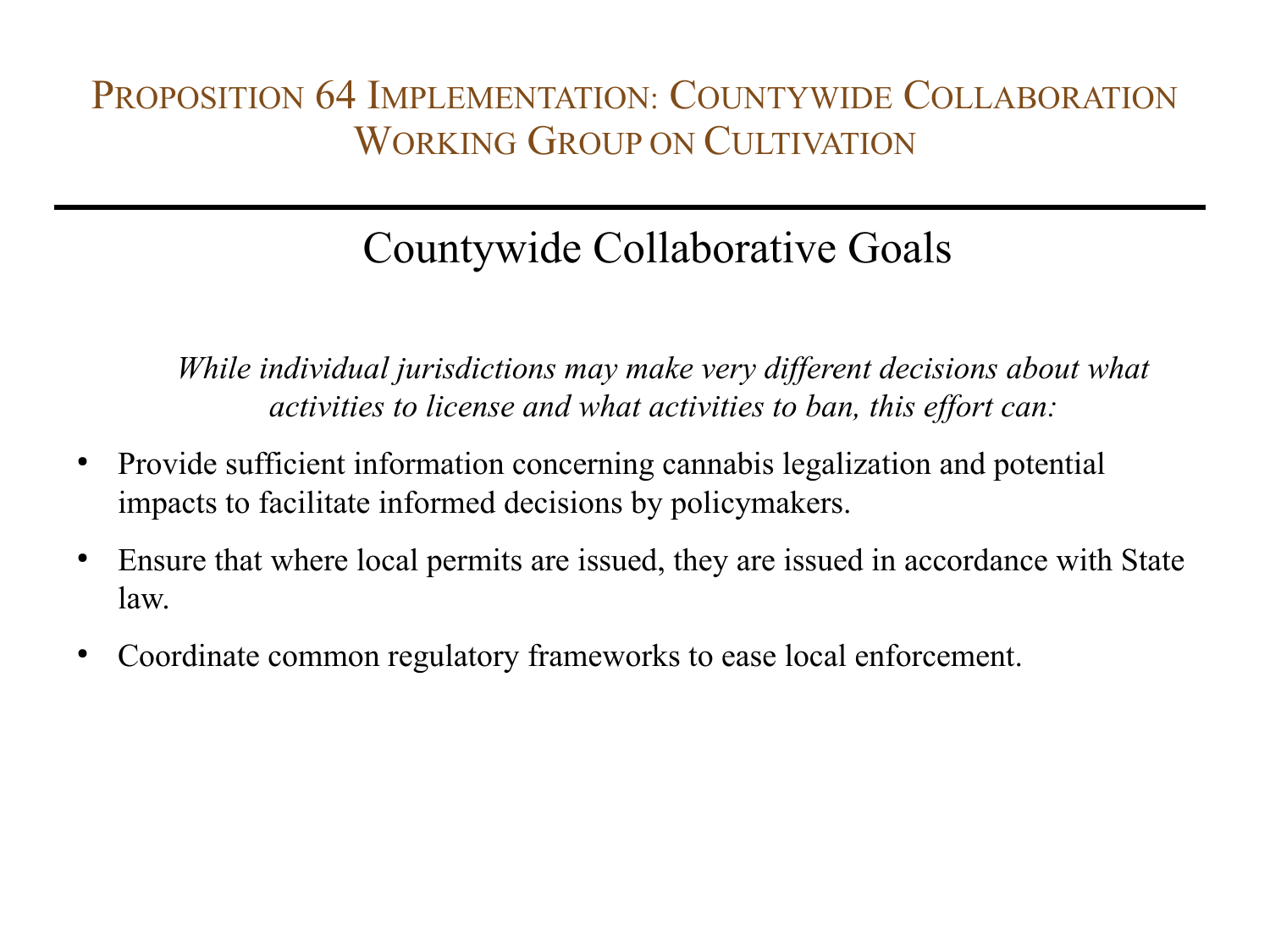# Countywide Collaborative Goals

*While individual jurisdictions may make very different decisions about what activities to license and what activities to ban, this effort can:*

- Provide sufficient information concerning cannabis legalization and potential impacts to facilitate informed decisions by policymakers.
- Ensure that where local permits are issued, they are issued in accordance with State law.
- Coordinate common regulatory frameworks to ease local enforcement.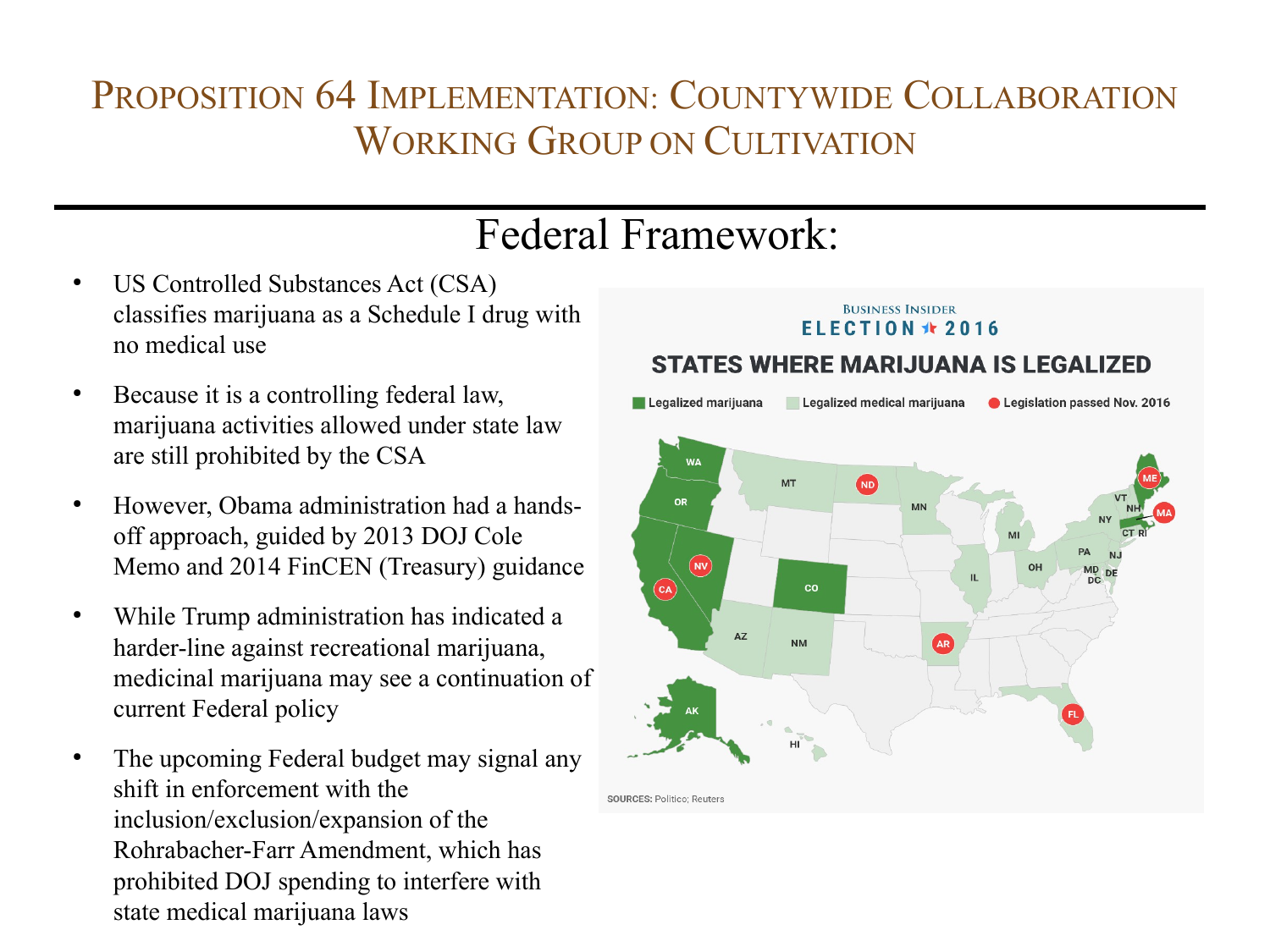# Federal Framework:

- US Controlled Substances Act (CSA) classifies marijuana as a Schedule I drug with no medical use
- Because it is a controlling federal law, marijuana activities allowed under state law are still prohibited by the CSA
- However, Obama administration had a handsoff approach, guided by 2013 DOJ Cole Memo and 2014 FinCEN (Treasury) guidance
- While Trump administration has indicated a harder-line against recreational marijuana, medicinal marijuana may see a continuation of current Federal policy
- The upcoming Federal budget may signal any shift in enforcement with the inclusion/exclusion/expansion of the Rohrabacher-Farr Amendment, which has prohibited DOJ spending to interfere with state medical marijuana laws

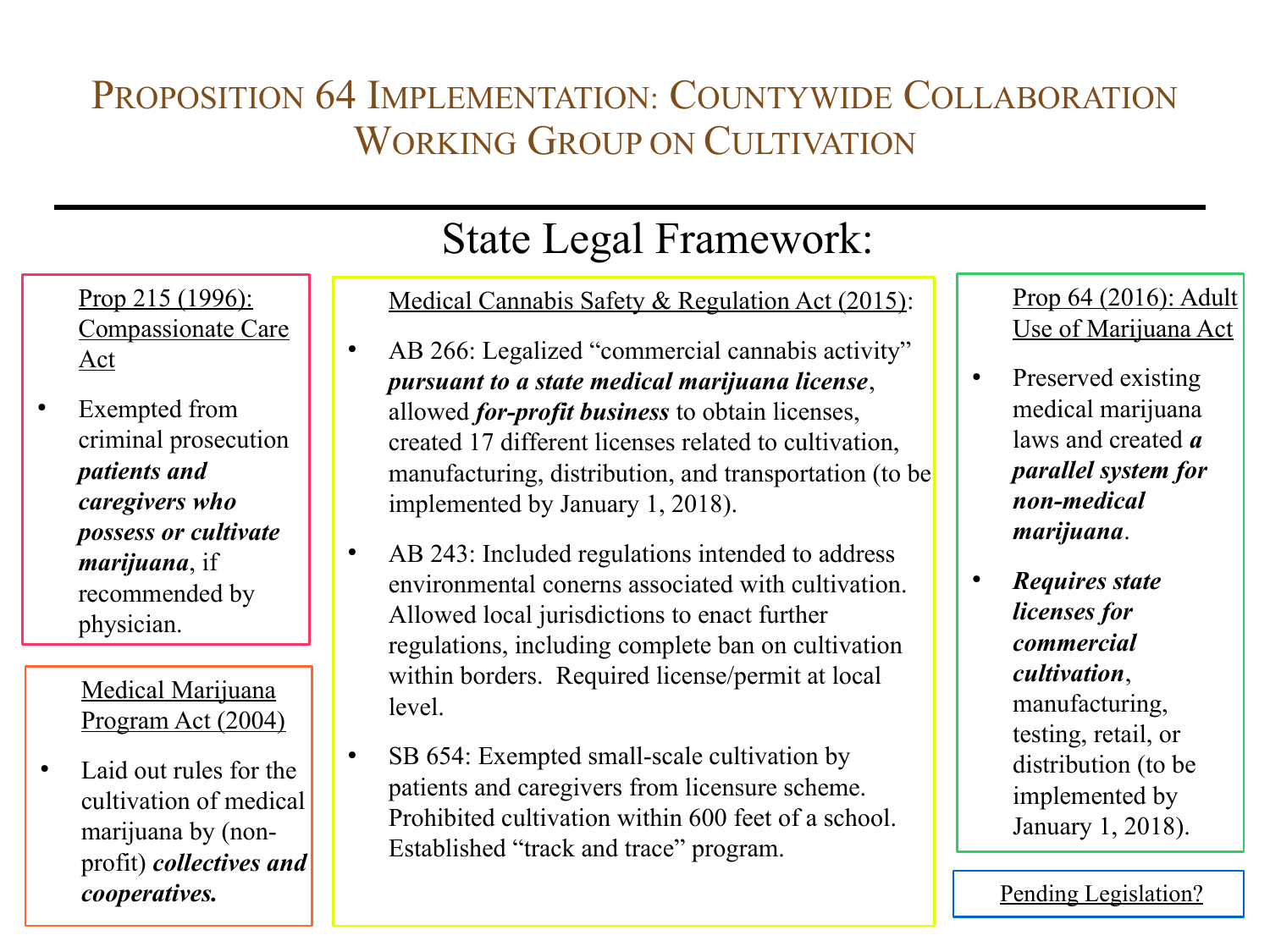Prop 215 (1996): Compassionate Care Act

• Exempted from criminal prosecution *patients and caregivers who possess or cultivate marijuana*, if recommended by physician.

> Medical Marijuana Program Act (2004)

● Laid out rules for the cultivation of medical marijuana by (nonprofit) *collectives and*  **cooperatives.** Pending Legislation?

# State Legal Framework:

Medical Cannabis Safety & Regulation Act (2015):

- AB 266: Legalized "commercial cannabis activity" *pursuant to a state medical marijuana license*, allowed *for-profit business* to obtain licenses, created 17 different licenses related to cultivation, manufacturing, distribution, and transportation (to be implemented by January 1, 2018).
- AB 243: Included regulations intended to address environmental conerns associated with cultivation. Allowed local jurisdictions to enact further regulations, including complete ban on cultivation within borders. Required license/permit at local level.
- SB 654: Exempted small-scale cultivation by patients and caregivers from licensure scheme. Prohibited cultivation within 600 feet of a school. Established "track and trace" program.

### Prop 64 (2016): Adult Use of Marijuana Act

- Preserved existing medical marijuana laws and created *a parallel system for non-medical marijuana*.
- *Requires state licenses for commercial cultivation*, manufacturing, testing, retail, or distribution (to be implemented by January 1, 2018).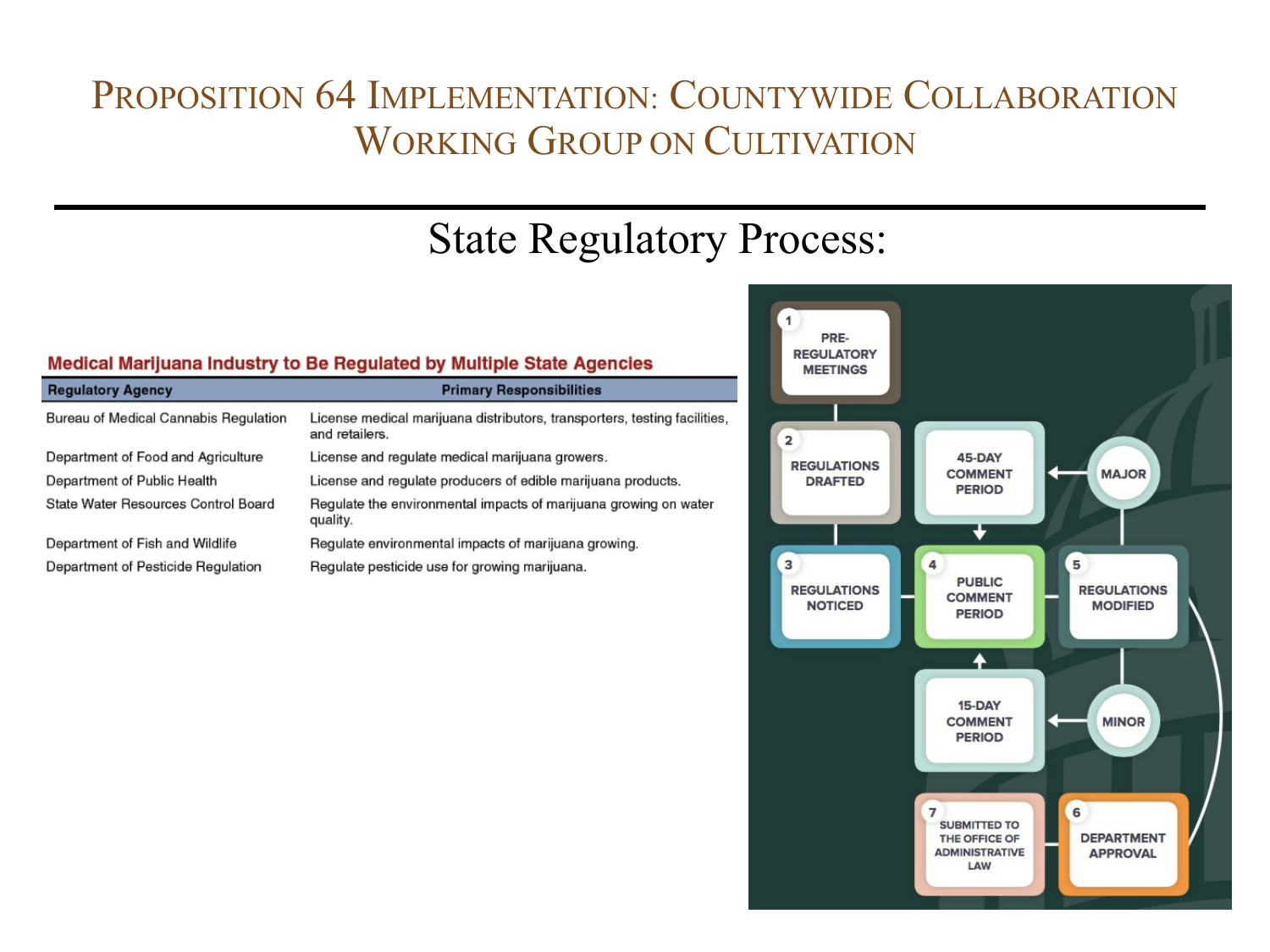# State Regulatory Process:

### Medical Marijuana Industry to Be Regulated by Multiple State Agencies

| <b>Regulatory Agency</b>                     | <b>Primary Responsibilities</b>                                                             |
|----------------------------------------------|---------------------------------------------------------------------------------------------|
| <b>Bureau of Medical Cannabis Regulation</b> | License medical marijuana distributors, transporters, testing facilities,<br>and retailers. |
| Department of Food and Agriculture           | License and regulate medical marijuana growers.                                             |
| Department of Public Health                  | License and regulate producers of edible marijuana products.                                |
| State Water Resources Control Board          | Regulate the environmental impacts of marijuana growing on water<br>quality.                |
| Department of Fish and Wildlife              | Regulate environmental impacts of marijuana growing.                                        |
| Department of Pesticide Regulation           | Regulate pesticide use for growing marijuana.                                               |

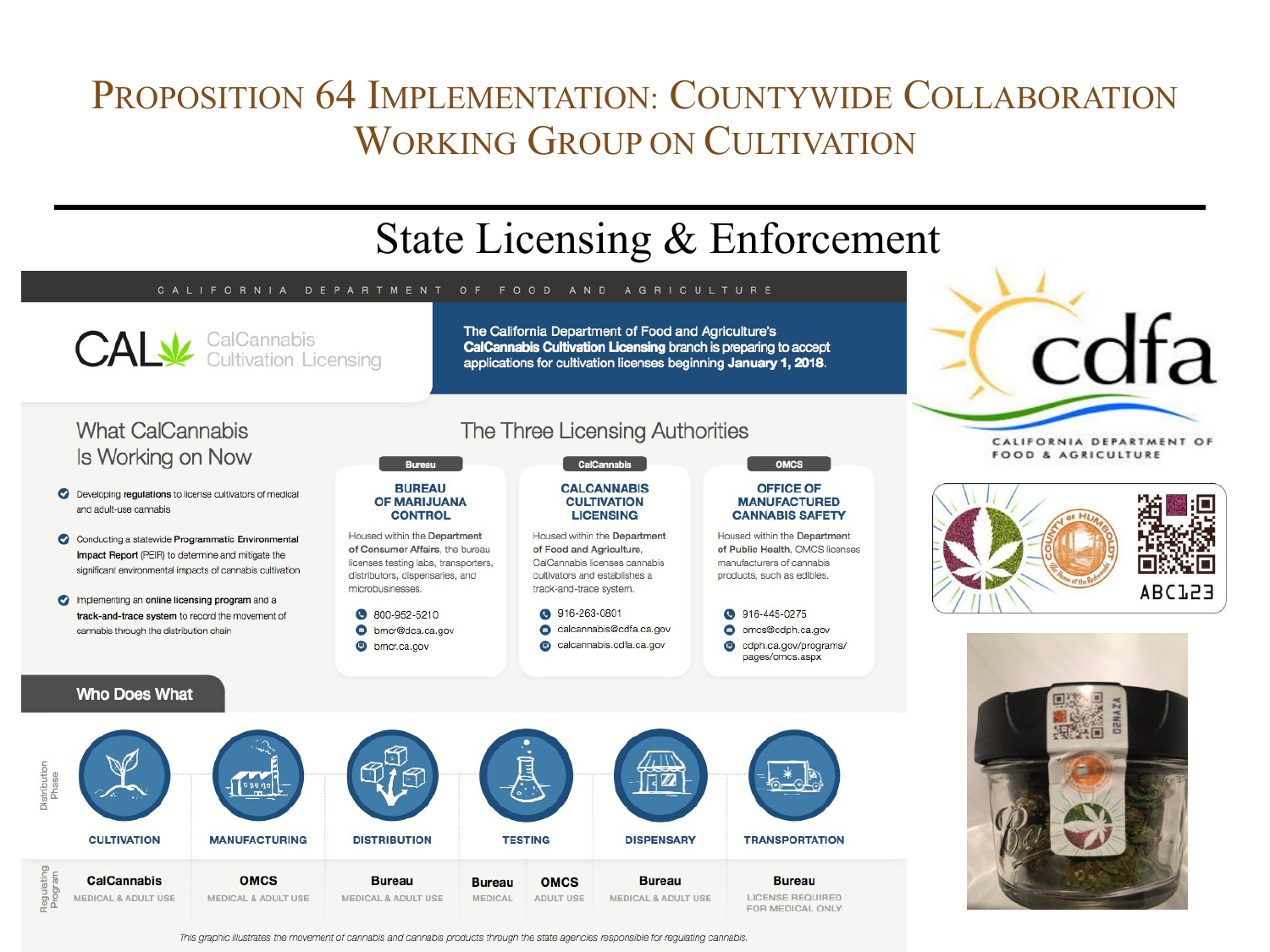

This graphic illustrates the movement of cannabis and cannabis products through the state agencies responsible for regulating cannabis.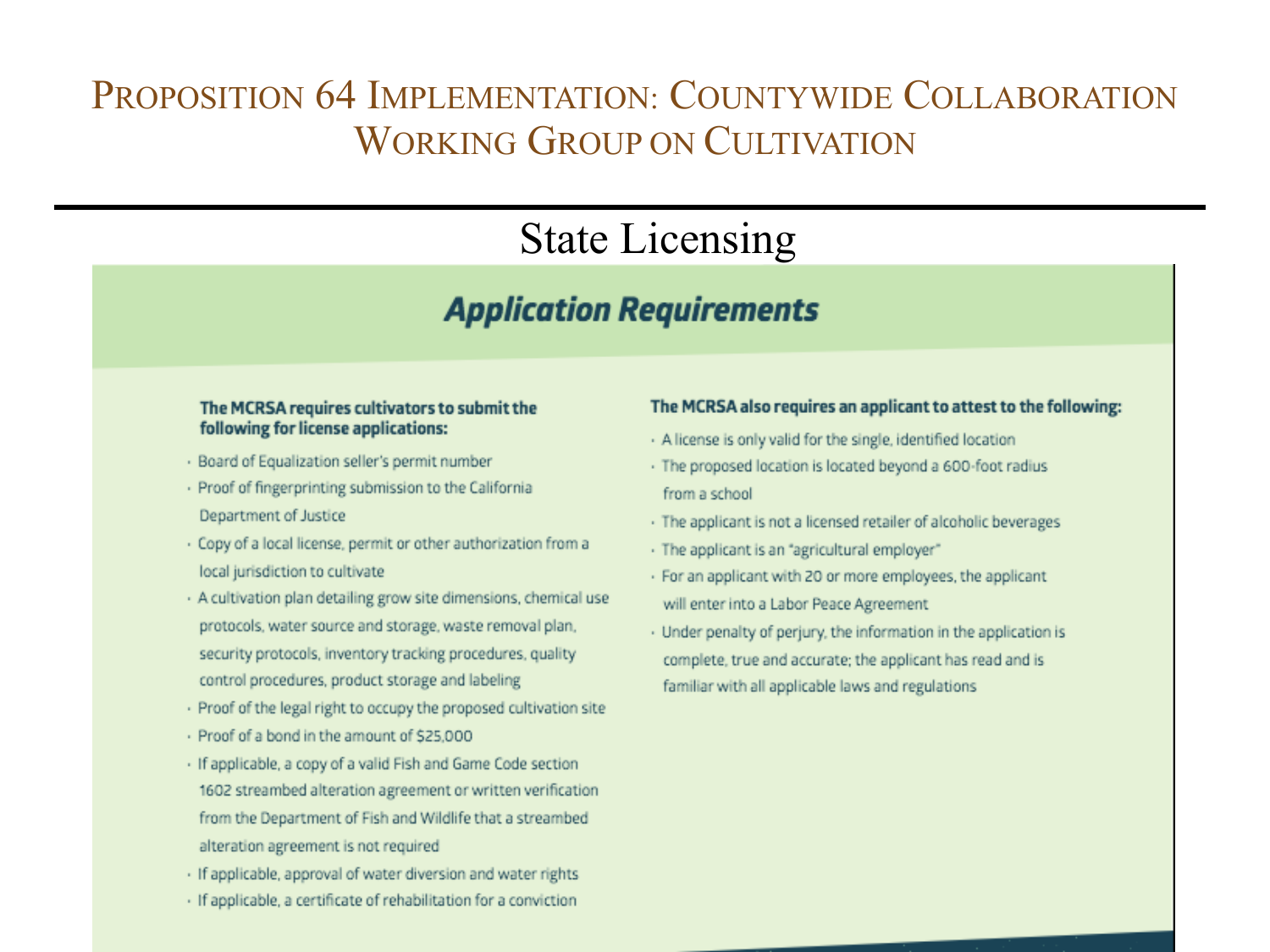## State Licensing

### **Application Requirements**

#### The MCRSA requires cultivators to submit the following for license applications:

- · Board of Equalization seller's permit number
- · Proof of fingerprinting submission to the California Department of Justice
- · Copy of a local license, permit or other authorization from a local jurisdiction to cultivate
- · A cultivation plan detailing grow site dimensions, chemical use protocols, water source and storage, waste removal plan, security protocols, inventory tracking procedures, quality control procedures, product storage and labeling
- · Proof of the legal right to occupy the proposed cultivation site
- Proof of a bond in the amount of \$25,000
- · If applicable, a copy of a valid Fish and Game Code section 1602 streambed alteration agreement or written verification from the Department of Fish and Wildlife that a streambed alteration agreement is not required
- · If applicable, approval of water diversion and water rights
- · If applicable, a certificate of rehabilitation for a conviction

### The MCRSA also requires an applicant to attest to the following:

- · A license is only valid for the single, identified location
- · The proposed location is located beyond a 600-foot radius from a school.
- · The applicant is not a licensed retailer of alcoholic beverages
- · The applicant is an "agricultural employer"
- · For an applicant with 20 or more employees, the applicant will enter into a Labor Peace Agreement
- · Under penalty of perjury, the information in the application is complete, true and accurate; the applicant has read and is familiar with all applicable laws and regulations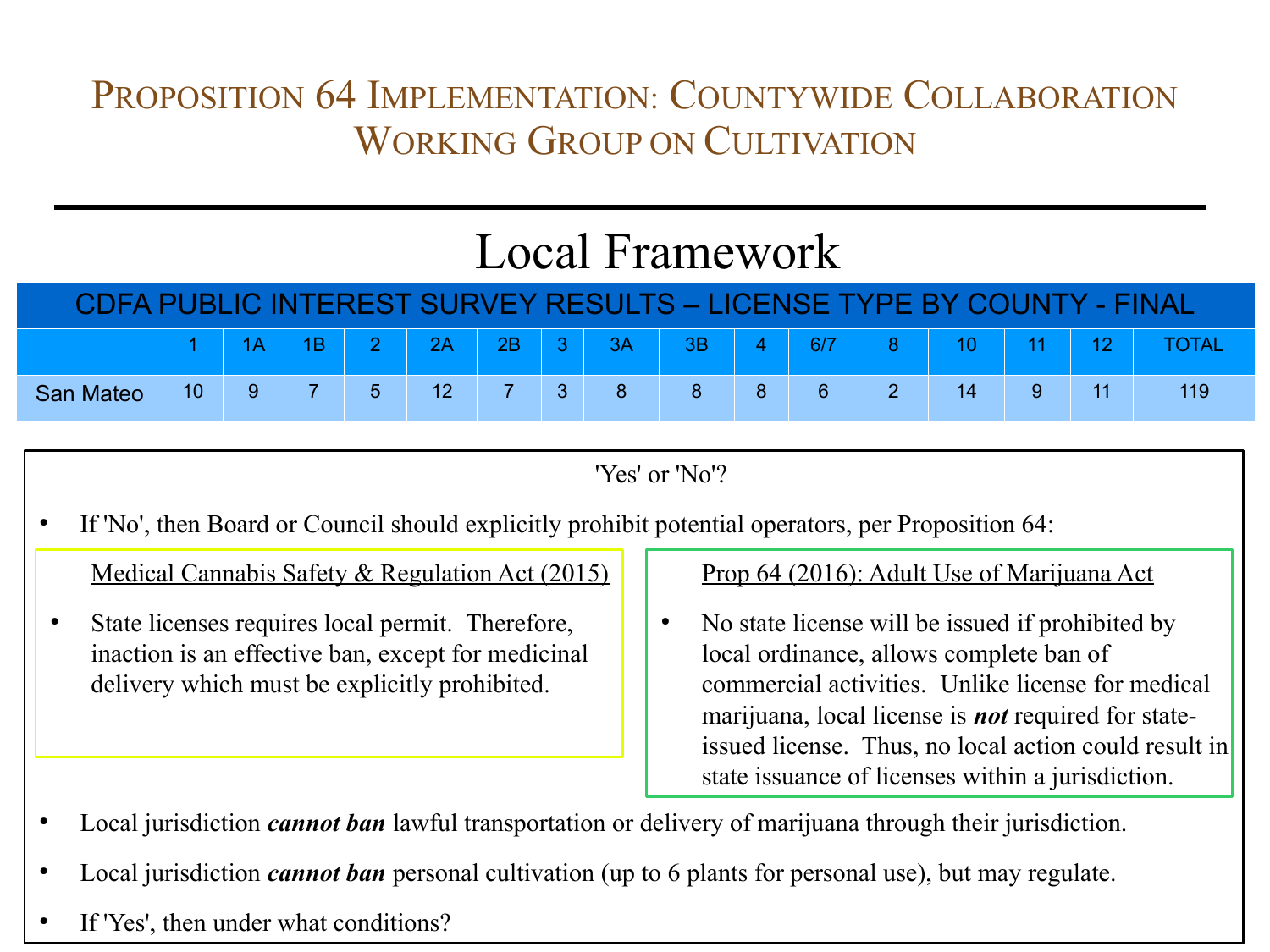# Local Framework

| CDFA PUBLIC INTEREST SURVEY RESULTS – LICENSE TYPE BY COUNTY - FINAL |    |   |  |             |                 |       |                 |    |    |  |     |       |    |    |              |
|----------------------------------------------------------------------|----|---|--|-------------|-----------------|-------|-----------------|----|----|--|-----|-------|----|----|--------------|
|                                                                      |    |   |  |             | 2A              | $-2B$ | $\vert 3 \vert$ | 3A | 3B |  | 6/7 | $8 -$ |    |    | <b>TOTAL</b> |
| <b>San Mateo</b>                                                     | 10 | 9 |  | $\mathbf b$ | 12 <sup>2</sup> |       |                 |    |    |  | 6   |       | 14 | 11 | 119          |

<sup>&#</sup>x27;Yes' or 'No'?

If 'No', then Board or Council should explicitly prohibit potential operators, per Proposition 64:

Medical Cannabis Safety & Regulation Act (2015)

State licenses requires local permit. Therefore, inaction is an effective ban, except for medicinal delivery which must be explicitly prohibited.

### Prop 64 (2016): Adult Use of Marijuana Act

- No state license will be issued if prohibited by local ordinance, allows complete ban of commercial activities. Unlike license for medical marijuana, local license is *not* required for stateissued license. Thus, no local action could result in state issuance of licenses within a jurisdiction.
- Local jurisdiction *cannot ban* lawful transportation or delivery of marijuana through their jurisdiction.
- Local jurisdiction *cannot ban* personal cultivation (up to 6 plants for personal use), but may regulate.
- If 'Yes', then under what conditions?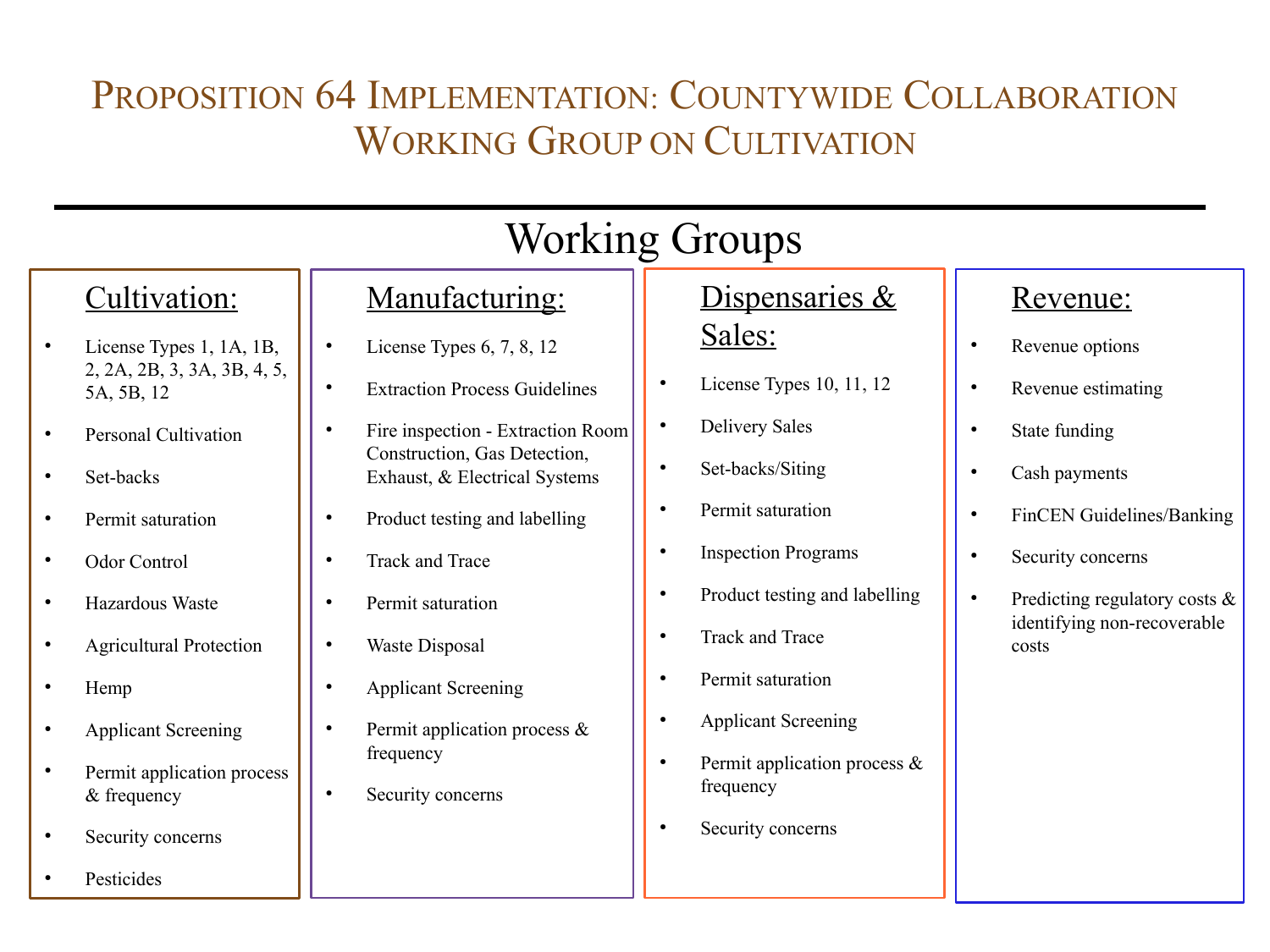|           | <b>Working Groups</b>                     |           |                                                               |           |                                              |           |                                      |  |  |  |
|-----------|-------------------------------------------|-----------|---------------------------------------------------------------|-----------|----------------------------------------------|-----------|--------------------------------------|--|--|--|
|           | Cultivation:                              |           | Manufacturing:                                                |           | Dispensaries &                               |           | <u>Revenue:</u>                      |  |  |  |
|           | License Types 1, 1A, 1B,                  | $\bullet$ | License Types $6, 7, 8, 12$                                   |           | Sales:                                       | $\bullet$ | Revenue options                      |  |  |  |
|           | 2, 2A, 2B, 3, 3A, 3B, 4, 5,<br>5A, 5B, 12 | $\bullet$ | <b>Extraction Process Guidelines</b>                          | $\bullet$ | License Types 10, 11, 12                     | $\bullet$ | Revenue estimating                   |  |  |  |
|           | <b>Personal Cultivation</b>               | $\bullet$ | Fire inspection - Extraction Room                             | $\bullet$ | <b>Delivery Sales</b>                        | $\bullet$ | State funding                        |  |  |  |
|           | Set-backs                                 |           | Construction, Gas Detection,<br>Exhaust, & Electrical Systems |           | Set-backs/Siting                             | $\bullet$ | Cash payments                        |  |  |  |
|           | Permit saturation                         | $\bullet$ | Product testing and labelling                                 | $\bullet$ | Permit saturation                            | $\bullet$ | FinCEN Guidelines/Banking            |  |  |  |
|           | Odor Control                              | $\bullet$ | <b>Track and Trace</b>                                        |           | <b>Inspection Programs</b>                   | $\bullet$ | Security concerns                    |  |  |  |
|           | Hazardous Waste                           | $\bullet$ | Permit saturation                                             | $\bullet$ | Product testing and labelling                | $\bullet$ | Predicting regulatory costs $\&$     |  |  |  |
| $\bullet$ | <b>Agricultural Protection</b>            | $\bullet$ | Waste Disposal                                                |           | Track and Trace                              |           | identifying non-recoverable<br>costs |  |  |  |
|           | Hemp                                      | $\bullet$ | <b>Applicant Screening</b>                                    |           | Permit saturation                            |           |                                      |  |  |  |
|           | <b>Applicant Screening</b>                | $\bullet$ | Permit application process $\&$                               | $\bullet$ | <b>Applicant Screening</b>                   |           |                                      |  |  |  |
|           | Permit application process<br>& frequency | $\bullet$ | frequency<br>Security concerns                                | $\bullet$ | Permit application process $\&$<br>frequency |           |                                      |  |  |  |
|           | Security concerns                         |           |                                                               | $\bullet$ | Security concerns                            |           |                                      |  |  |  |
|           | Pesticides                                |           |                                                               |           |                                              |           |                                      |  |  |  |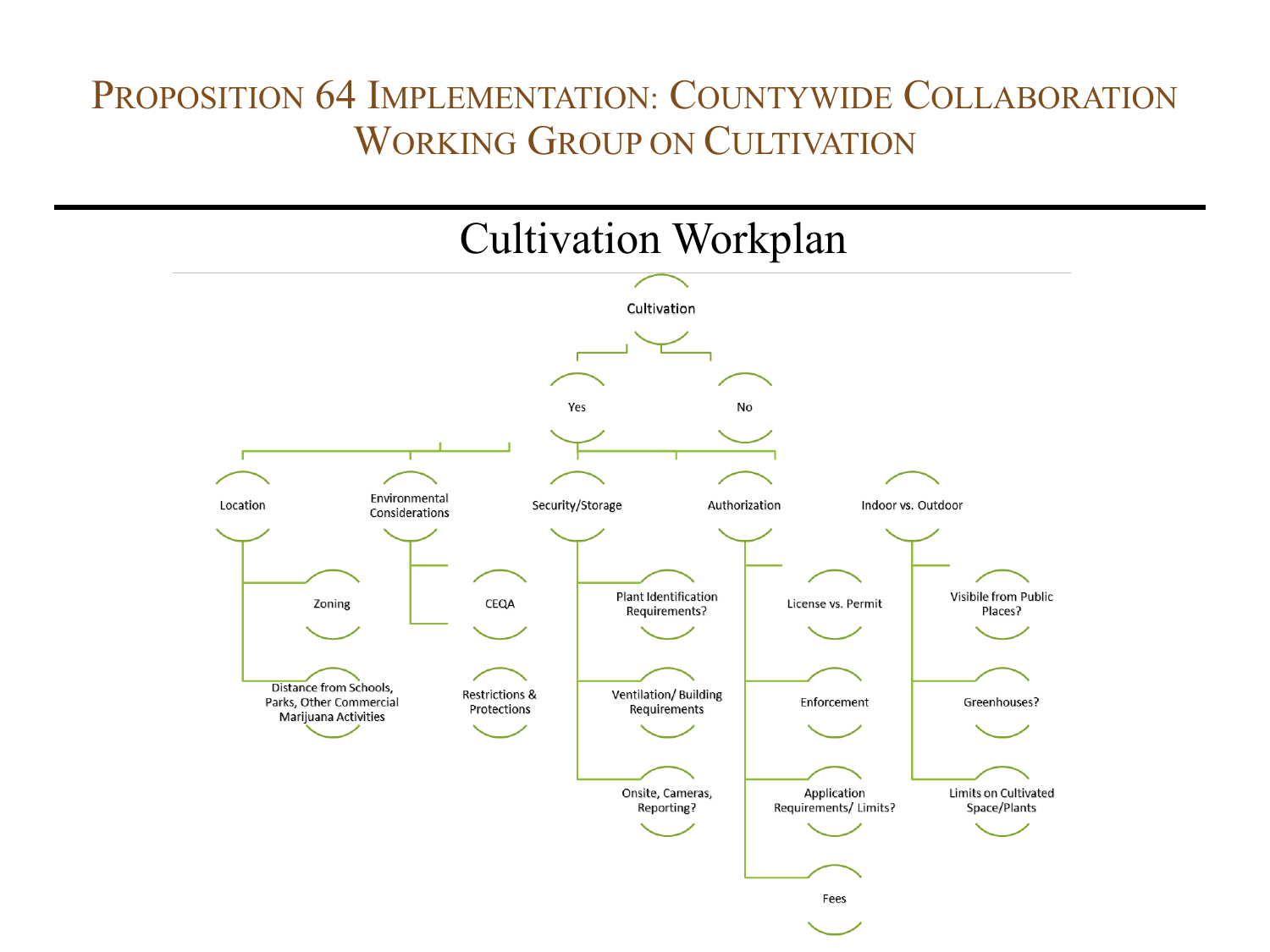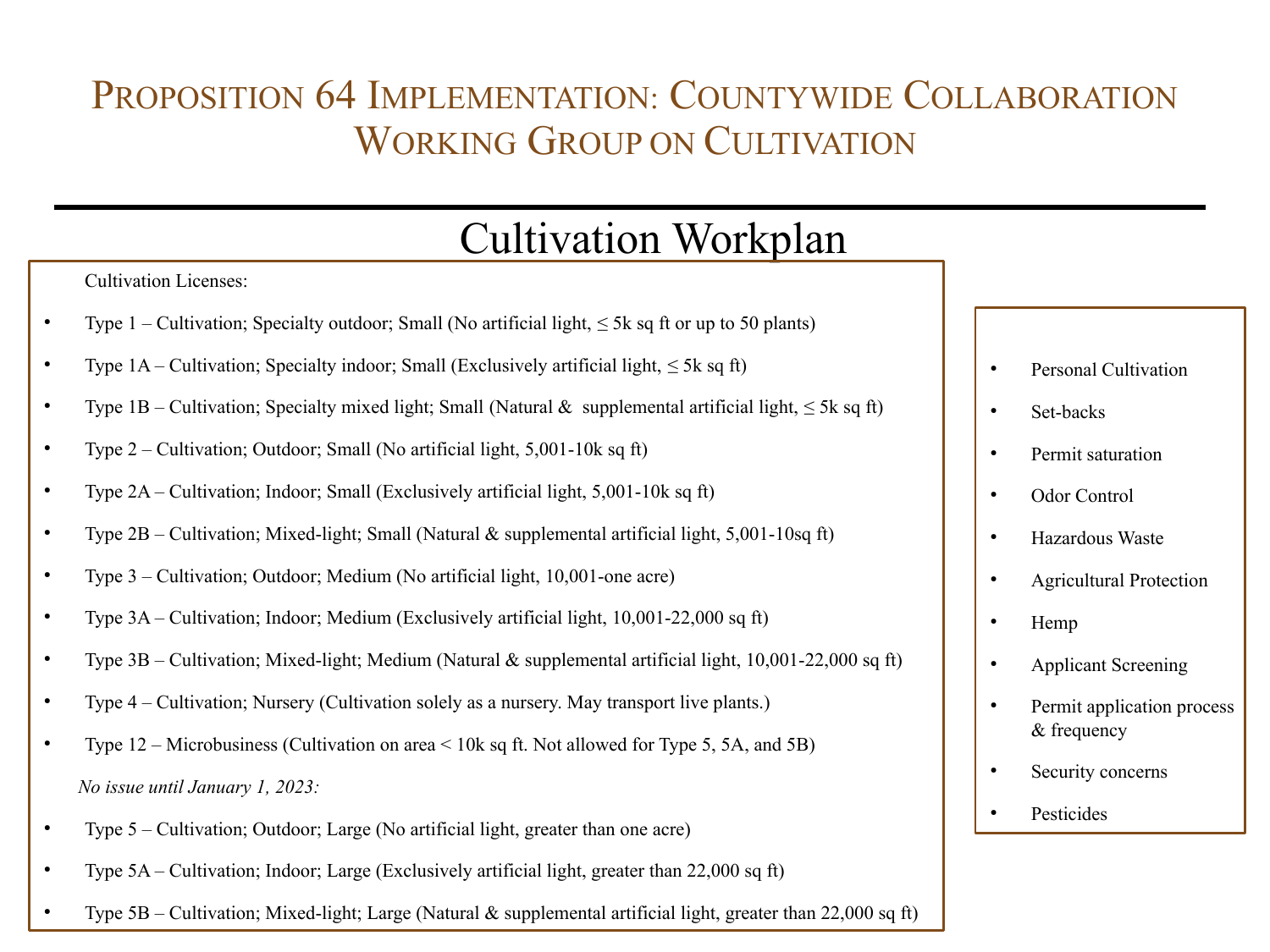# Cultivation Workplan

|           | <b>Cultivation Licenses:</b>                                                                                   |  |             |
|-----------|----------------------------------------------------------------------------------------------------------------|--|-------------|
|           | Type 1 – Cultivation; Specialty outdoor; Small (No artificial light, $\leq$ 5k sq ft or up to 50 plants)       |  |             |
| $\bullet$ | Type $1A$ – Cultivation; Specialty indoor; Small (Exclusively artificial light, $\leq 5k$ sq ft)               |  | Personal C  |
| $\bullet$ | Type 1B – Cultivation; Specialty mixed light; Small (Natural & supplemental artificial light, $\leq$ 5k sq ft) |  | Set-backs   |
| $\bullet$ | Type $2$ – Cultivation; Outdoor; Small (No artificial light, 5,001-10 $k$ sq ft)                               |  | Permit sat  |
| $\bullet$ | Type $2A$ – Cultivation; Indoor; Small (Exclusively artificial light, 5,001-10 $k$ sq ft)                      |  | Odor Cont   |
| $\bullet$ | Type $2B$ – Cultivation; Mixed-light; Small (Natural & supplemental artificial light, 5,001-10sq ft)           |  | Hazardous   |
| $\bullet$ | Type 3 – Cultivation; Outdoor; Medium (No artificial light, 10,001-one acre)                                   |  | Agricultur  |
| $\bullet$ | Type 3A – Cultivation; Indoor; Medium (Exclusively artificial light, 10,001-22,000 sq ft)                      |  | Hemp        |
| $\bullet$ | Type $3B$ – Cultivation; Mixed-light; Medium (Natural & supplemental artificial light, 10,001-22,000 sq ft)    |  | Applicant   |
| $\bullet$ | Type 4 – Cultivation; Nursery (Cultivation solely as a nursery. May transport live plants.)                    |  | Permit app  |
| $\bullet$ | Type $12$ – Microbusiness (Cultivation on area < 10k sq ft. Not allowed for Type 5, 5A, and 5B)                |  | $&$ frequen |
|           | No issue until January 1, 2023:                                                                                |  | Security co |
| $\bullet$ | Type 5 – Cultivation; Outdoor; Large (No artificial light, greater than one acre)                              |  | Pesticides  |
|           | Type 5A - Cultivation; Indoor; Large (Exclusively artificial light, greater than 22,000 sq ft)                 |  |             |
|           |                                                                                                                |  |             |

Type  $5B$  – Cultivation; Mixed-light; Large (Natural & supplemental artificial light, greater than 22,000 sq ft)

- **Pultivation**
- uration
- trol
- s Waste
- ral Protection
- **Screening**
- plication process  $\frac{1}{2}$
- oncerns
-